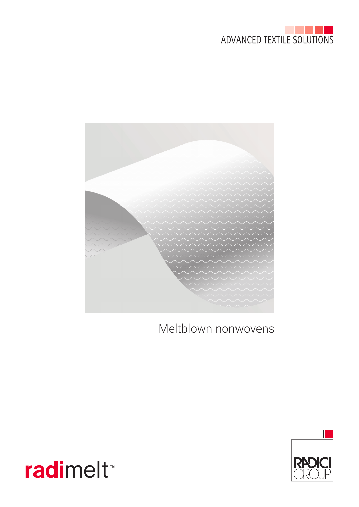



Meltblown nonwovens



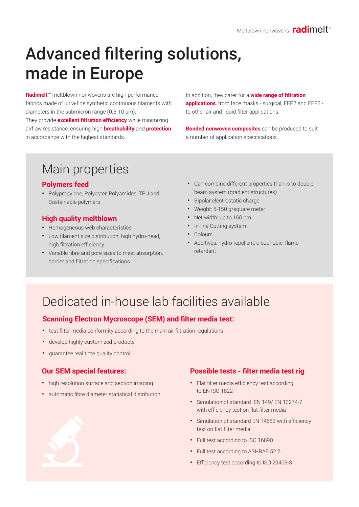# Advanced filtering solutions, made in Europe

**Radimelt™** meltblown nonwovens are high performance fabrics made of ultra-fine synthetic continuous filaments with diameters in the submicron range (0.5-10 µm).

They provide **excellent filtration efficiency** while minimizing airflow resistance, ensuring high **breathability** and **protection** in accordance with the highest standards.

In addition, they cater for a **wide range of filtration applications**, from face masks - surgical, FFP2 and FFP3 to other air and liquid filter applications.

**Bonded nonwoven composites** can be produced to suit a number of application specifications.

# Main properties

#### **Polymers feed**

• Polypropylene, Polyester, Polyamides, TPU and Sustainable polymers

#### **High quality meltblown**

- Homogeneous web characteristics
- Low filament size distribution, high hydro-head, high filtration efficiency
- Variable fibre and pore sizes to meet absorption, barrier and filtration specifications
- Can combine different properties thanks to double beam system (gradient structures)
- Bipolar electrostatic charge
- Weight: 5-150 g/square meter
- Net width: up to 160 cm
- In-line Cutting system
- Colours
- Additives: hydro-repellent, oleophobic, flame retardant

### Dedicated in-house lab facilities available

#### **Scanning Electron Mycroscope (SEM) and filter media test:**

- test filter media conformity according to the main air filtration regulations
- develop highly customized products
- guarantee real time quality control

#### **Our SEM special features:**

- high resolution surface and section imaging
- automatic fibre diameter statistical distribution

#### **Possible tests - filter media test rig**

- Flat filter media efficiency test according to EN ISO 1822-1
- Simulation of standard EN 149/ EN 13274-7 with efficiency test on flat filter media
- Simulation of standard EN 14683 with efficiency test on flat filter media
- Full test according to ISO 16890
- Full test according to ASHRAE 52.2
- Efficiency test according to ISO 29463-3

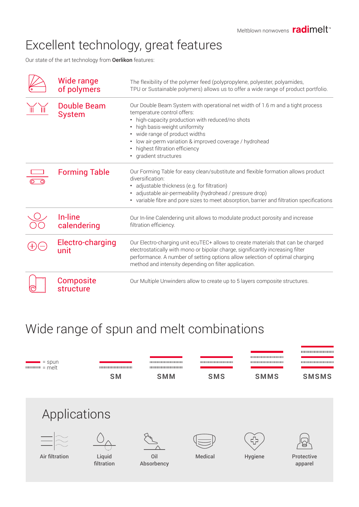# Excellent technology, great features

Our state of the art technology from **Oerlikon** features:

| Wide range<br>of polymers     | The flexibility of the polymer feed (polypropylene, polyester, polyamides,<br>TPU or Sustainable polymers) allows us to offer a wide range of product portfolio.                                                                                                                                                                                                            |
|-------------------------------|-----------------------------------------------------------------------------------------------------------------------------------------------------------------------------------------------------------------------------------------------------------------------------------------------------------------------------------------------------------------------------|
| Double Beam<br><b>System</b>  | Our Double Beam System with operational net width of 1.6 m and a tight process<br>temperature control offers:<br>high-capacity production with reduced/no shots<br>high basis-weight uniformity<br>wide range of product widths<br>$\bullet$<br>low air-perm variation & improved coverage / hydrohead<br>$\bullet$<br>highest filtration efficiency<br>gradient structures |
| <b>Forming Table</b>          | Our Forming Table for easy clean/substitute and flexible formation allows product<br>diversification:<br>adjustable thickness (e.g. for filtration)<br>adjustable air-permeability (hydrohead / pressure drop)<br>• variable fibre and pore sizes to meet absorption, barrier and filtration specifications                                                                 |
| In-line<br>calendering        | Our In-line Calendering unit allows to modulate product porosity and increase<br>filtration efficiency.                                                                                                                                                                                                                                                                     |
| Electro-charging<br>unit      | Our Electro-charging unit ecuTEC+ allows to create materials that can be charged<br>electrostatically with mono or bipolar charge, significantly increasing filter<br>performance. A number of setting options allow selection of optimal charging<br>method and intensity depending on filter application.                                                                 |
| <b>Composite</b><br>structure | Our Multiple Unwinders allow to create up to 5 layers composite structures.                                                                                                                                                                                                                                                                                                 |

### Wide range of spun and melt combinations